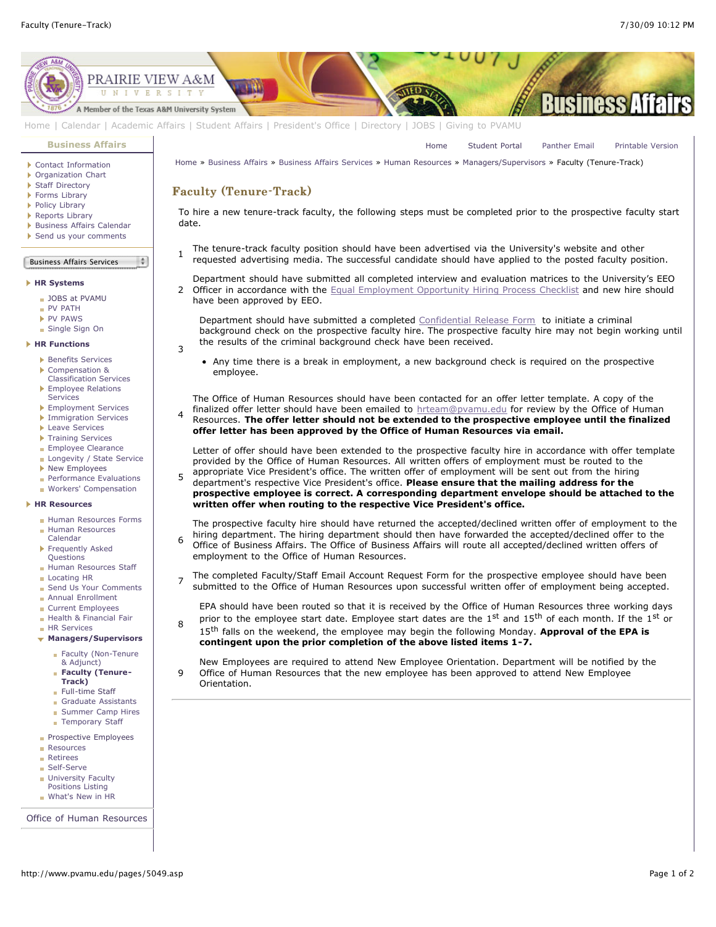[Home](http://www.pvamu.edu/pages/1.asp) [Student Portal](http://panthertracks.pvamu.edu/) [Panther Email](http://www.pvamu.edu/pages/1740.asp) [Printable Version](http://www.pvamu.edu/print/5049.asp)



[Home](http://www.pvamu.edu/pages/1.asp) | [Calendar](http://www.pvamu.edu/pages/222.asp) | [Academic Affairs](http://www.pvamu.edu/pages/116.asp) | [Student Affairs](http://www.pvamu.edu/pages/1441.asp) | [President's Office](http://www.pvamu.edu/pages/117.asp) | [Directory](http://www.pvamu.edu/pages/225.asp) | [JOBS](http://www.pvamu.edu/pages/118.asp) | [Giving to PVAMU](http://www.pvamu.edu/giving)

Faculty (Tenure-Track) Faculty (Tenure-Track)

3

9

**[Business Affairs](http://www.pvamu.edu/pages/102.asp)**

- ▶ [Contact Information](http://www.pvamu.edu/pages/527.asp)
- [Organization Chart](http://www.pvamu.edu/pages/528.asp)
- [Staff Directory](http://www.pvamu.edu/pages/529.asp)
- [Forms Library](http://www.pvamu.edu/pages/531.asp)
- [Policy Library](http://www.pvamu.edu/pages/532.asp)
- ▶ [Reports Library](http://www.pvamu.edu/pages/533.asp) **[Business Affairs Calendar](http://www.pvamu.edu/pages/534.asp)**
- [Send us your comments](http://www.pvamu.edu/pages/535.asp)
- 

## Business Affairs Services  $\frac{1}{2}$

## **[HR Systems](http://www.pvamu.edu/pages/555.asp)**

- [JOBS at PVAMU](http://www.pvamu.edu/pages/118.asp)
- [PV PATH](http://www.pvamu.edu/pages/1996.asp)
- **[PV PAWS](http://www.pvamu.edu/pages/1997.asp)**
- [Single Sign On](http://www.pvamu.edu/pages/684.asp)

**[HR Functions](http://www.pvamu.edu/pages/555.asp)**

- **[Benefits Services](http://www.pvamu.edu/pages/685.asp)**
- Compensation &
- [Classification Services](http://www.pvamu.edu/pages/689.asp) ▶ [Employee Relations](http://www.pvamu.edu/pages/690.asp) **Services**
- **[Employment Services](http://www.pvamu.edu/pages/676.asp)**
- **[Immigration Services](http://www.pvamu.edu/pages/694.asp)**
- **[Leave Services](http://www.pvamu.edu/pages/687.asp)**
- **[Training Services](http://www.pvamu.edu/pages/693.asp)**
- **[Employee Clearance](http://www.pvamu.edu/pages/3032.asp)**
- **[Longevity / State Service](http://www.pvamu.edu/pages/3578.asp)**
- **[New Employees](http://www.pvamu.edu/pages/1998.asp)**
- **[Performance Evaluations](http://www.pvamu.edu/pages/3943.asp) [Workers' Compensation](http://www.pvamu.edu/pages/2016.asp)**

## **[HR Resources](http://www.pvamu.edu/pages/555.asp)**

- [Human Resources Forms](http://www.pvamu.edu/pages/696.asp)
- **[Human Resources](http://www.pvamu.edu/pages/2000.asp)** Calendar
- **[Frequently Asked](http://www.pvamu.edu/pages/680.asp)** Questions
- **[Human Resources Staff](http://www.pvamu.edu/pages/675.asp)**
- [Locating HR](http://www.pvamu.edu/pages/681.asp)
- [Send Us Your Comments](http://www.pvamu.edu/pages/1829.asp)
- **[Annual Enrollment](http://www.pvamu.edu/pages/5696.asp)**
- [Current Employees](http://www.pvamu.edu/pages/4707.asp)
- [Health & Financial Fair](http://www.pvamu.edu/pages/5122.asp) **[HR Services](http://www.pvamu.edu/pages/5322.asp)**
- 
- **[Managers/Supervisors](http://www.pvamu.edu/pages/3942.asp)**
	- **[Faculty \(Non-Tenure](http://www.pvamu.edu/pages/5051.asp)** & Adjunct)
	- **[Faculty \(Tenure-](http://www.pvamu.edu/pages/5049.asp)**
	- **Track)**
	- **[Full-time Staff](http://www.pvamu.edu/pages/5048.asp)** [Graduate Assistants](http://www.pvamu.edu/pages/5052.asp)
	- **[Summer Camp Hires](http://www.pvamu.edu/pages/5588.asp)**
	- [Temporary Staff](http://www.pvamu.edu/pages/5050.asp)
	-
- **[Prospective Employees](http://www.pvamu.edu/pages/4724.asp)**
- **[Resources](http://www.pvamu.edu/pages/5324.asp)**
- **[Retirees](http://www.pvamu.edu/pages/4735.asp)**
- [Self-Serve](http://www.pvamu.edu/pages/5323.asp)
- **[University Faculty](http://www.pvamu.edu/pages/3397.asp)**
- Positions Listing

[What's New in HR](http://www.pvamu.edu/pages/5201.asp)

[Office of Human Resources](http://www.pvamu.edu/pages/555.asp)

To hire a new tenure-track faculty, the following steps must be completed prior to the prospective faculty start date.

1 The tenure-track faculty position should have been advertised via the University's website and other requested advertising media. The successful candidate should have applied to the posted faculty position.

[Home](http://www.pvamu.edu/pages/1.asp) » [Business Affairs](http://www.pvamu.edu/pages/102.asp) » [Business Affairs Services](http://www.pvamu.edu/pages/530.asp) » [Human Resources](http://www.pvamu.edu/pages/555.asp) » [Managers/Supervisors](http://www.pvamu.edu/pages/3942.asp) » Faculty (Tenure-Track)

2 Department should have submitted all completed interview and evaluation matrices to the University's EEO Officer in accordance with the [Equal Employment Opportunity Hiring Process Checklist](http://www.pvamu.edu/pages/1488.asp) and new hire should have been approved by EEO.

Department should have submitted a completed [Confidential Release Form](http://www.pvamu.edu/files/human_resources/docs/Background%20Check.pdf) to initiate a criminal background check on the prospective faculty hire. The prospective faculty hire may not begin working until the results of the criminal background check have been received.

Any time there is a break in employment, a new background check is required on the prospective employee.

The Office of Human Resources should have been contacted for an offer letter template. A copy of the finalized offer letter should have been emailed to [hrteam@pvamu.edu](mailto:hrteam@pvamu.edu?subject=Offer%20Letters) for review by the Office of Human

4 Resources. **The offer letter should not be extended to the prospective employee until the finalized offer letter has been approved by the Office of Human Resources via email.**

Letter of offer should have been extended to the prospective faculty hire in accordance with offer template provided by the Office of Human Resources. All written offers of employment must be routed to the appropriate Vice President's office. The written offer of employment will be sent out from the hiring

5 department's respective Vice President's office. **Please ensure that the mailing address for the prospective employee is correct. A corresponding department envelope should be attached to the written offer when routing to the respective Vice President's office.**

6 The prospective faculty hire should have returned the accepted/declined written offer of employment to the hiring department. The hiring department should then have forwarded the accepted/declined offer to the Office of Business Affairs. The Office of Business Affairs will route all accepted/declined written offers of employment to the Office of Human Resources.

7 The completed Faculty/Staff Email Account Request Form for the prospective employee should have been submitted to the Office of Human Resources upon successful written offer of employment being accepted.

EPA should have been routed so that it is received by the Office of Human Resources three working days prior to the employee start date. Employee start dates are the 1st and 15<sup>th</sup> of each month. If the 1st or

8 15th falls on the weekend, the employee may begin the following Monday. **Approval of the EPA is contingent upon the prior completion of the above listed items 1-7.**

New Employees are required to attend New Employee Orientation. Department will be notified by the Office of Human Resources that the new employee has been approved to attend New Employee Orientation.